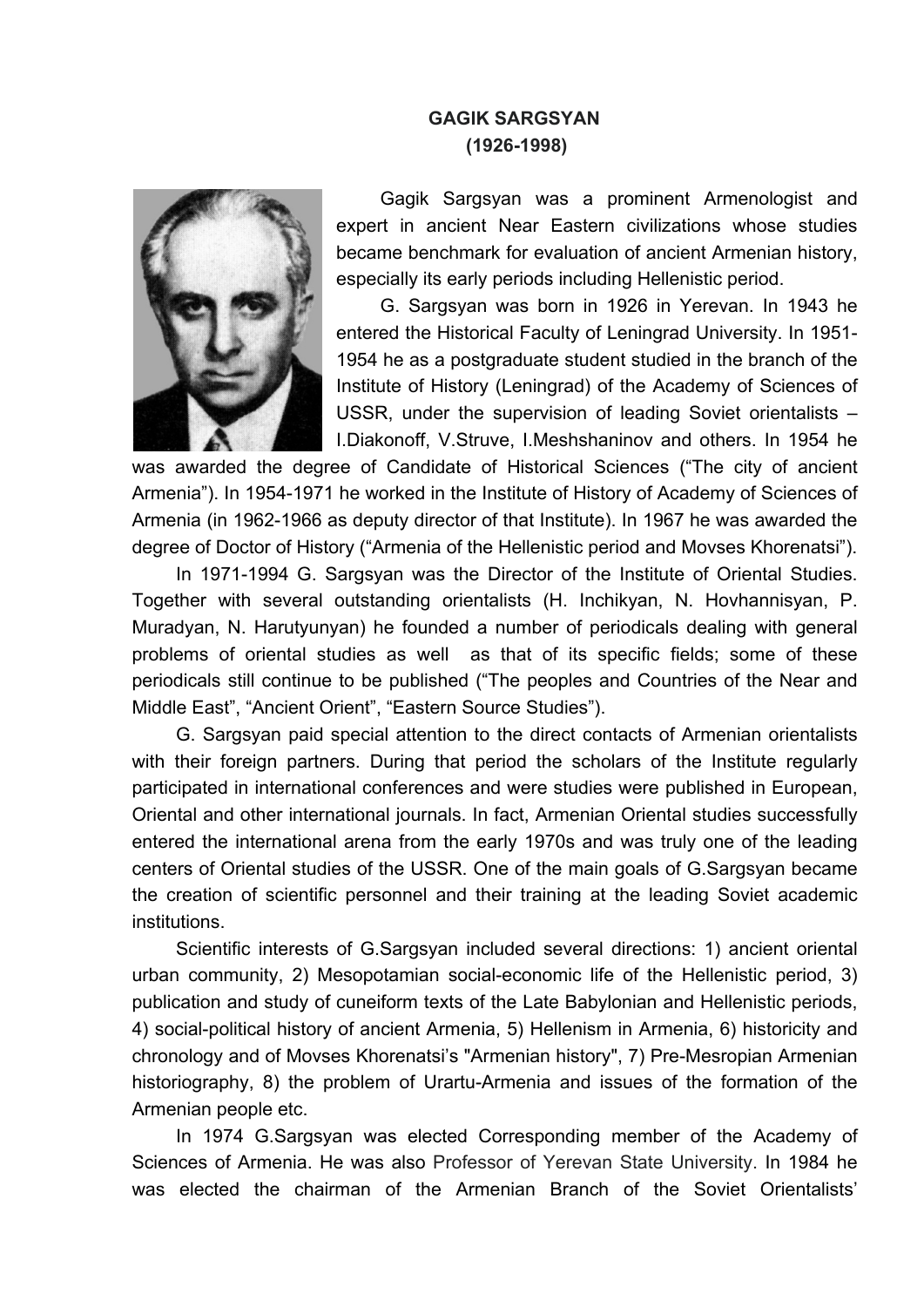## **GAGIK SARGSYAN (1926-1998)**



Gagik Sargsyan was a prominent Armenologist and expert in ancient Near Eastern civilizations whose studies became benchmark for evaluation of ancient Armenian history, especially its early periods including Hellenistic period.

G. Sargsyan was born in 1926 in Yerevan. In 1943 he entered the Historical Faculty of Leningrad University. In 1951- 1954 he as a postgraduate student studied in the branch of the Institute of History (Leningrad) of the Academy of Sciences of USSR, under the supervision of leading Soviet orientalists – I.Diakonoff, V.Struve, I.Meshshaninov and others. In 1954 he

was awarded the degree of Candidate of Historical Sciences ("The city of ancient Armenia"). In 1954-1971 he worked in the Institute of History of Academy of Sciences of Armenia (in 1962-1966 as deputy director of that Institute). In 1967 he was awarded the degree of Doctor of History ("Armenia of the Hellenistic period and Movses Khorenatsi").

In 1971-1994 G. Sargsyan was the Director of the Institute of Oriental Studies. Together with several outstanding orientalists (H. Inchikyan, N. Hovhannisyan, P. Muradyan, N. Harutyunyan) he founded a number of periodicals dealing with general problems of oriental studies as well as that of its specific fields; some of these periodicals still continue to be published ("The peoples and Countries of the Near and Middle East", "Ancient Orient", "Eastern Source Studies").

G. Sargsyan paid special attention to the direct contacts of Armenian orientalists with their foreign partners. During that period the scholars of the Institute regularly participated in international conferences and were studies were published in European, Oriental and other international journals. In fact, Armenian Oriental studies successfully entered the international arena from the early 1970s and was truly one of the leading centers of Oriental studies of the USSR. One of the main goals of G.Sargsyan became the creation of scientific personnel and their training at the leading Soviet academic institutions.

Scientific interests of G.Sargsyan included several directions: 1) ancient oriental urban community, 2) Mesopotamian social-economic life of the Hellenistic period, 3) publication and study of cuneiform texts of the Late Babylonian and Hellenistic periods, 4) social-political history of ancient Armenia, 5) Hellenism in Armenia, 6) historicity and chronology and of Movses Khorenatsi's "Armenian history", 7) Pre-Mesropian Armenian historiography, 8) the problem of Urartu-Armenia and issues of the formation of the Armenian people etc.

In 1974 G.Sargsyan was elected Corresponding member of the Academy of Sciences of Armenia. He was also Professor of Yerevan State University. In 1984 he was elected the chairman of the Armenian Branch of the Soviet Orientalists'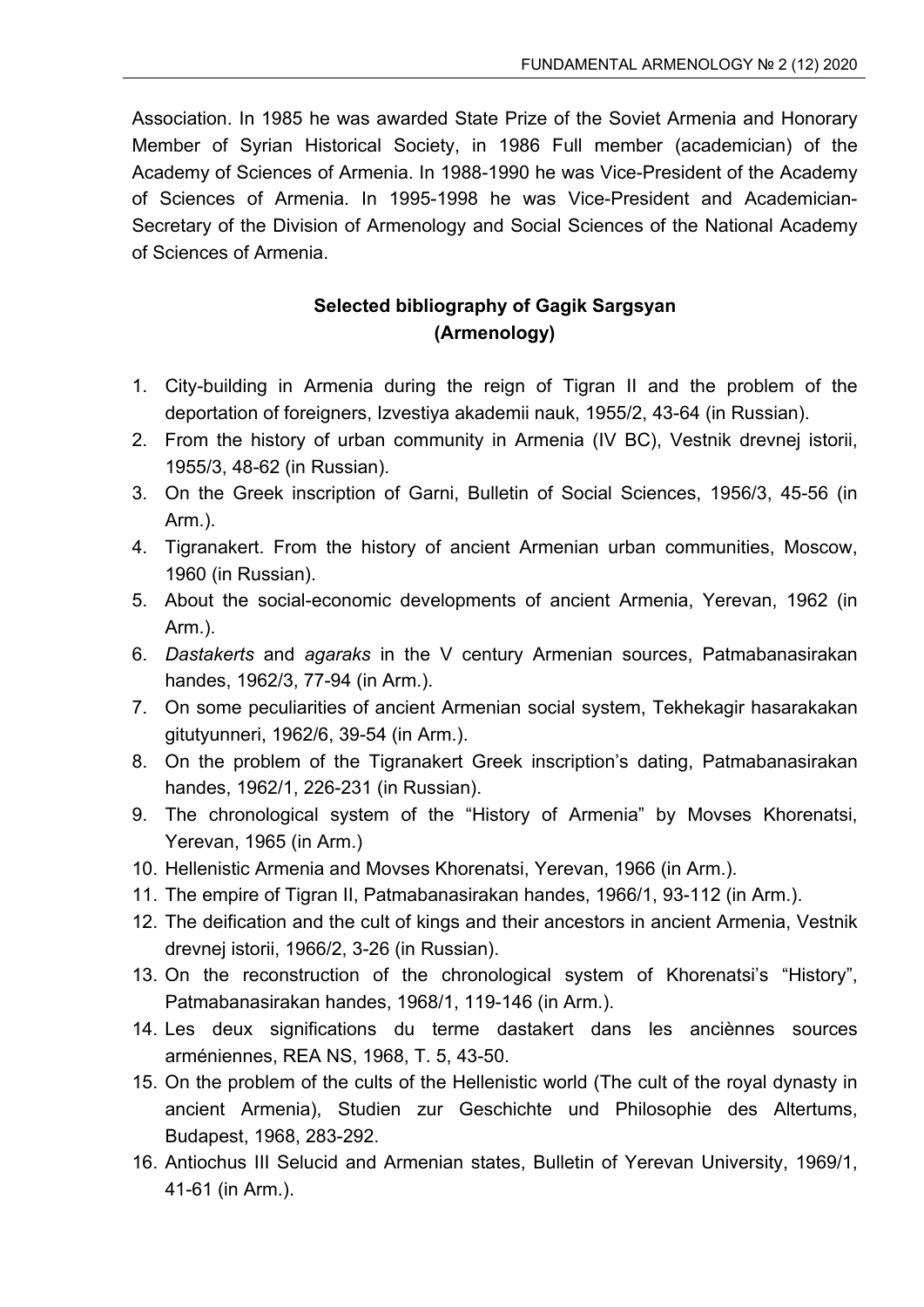Association. In 1985 he was awarded State Prize of the Soviet Armenia and Honorary Member of Syrian Historical Society, in 1986 Full member (academician) of the Academy of Sciences of Armenia. In 1988-1990 he was Vice-President of the Academy of Sciences of Armenia. In 1995-1998 he was Vice-President and Academician-Secretary of the Division of Armenology and Social Sciences of the National Academy of Sciences of Armenia.

## **Selected bibliography of Gagik Sargsyan (Armenology)**

- 1. City-building in Armenia during the reign of Tigran II and the problem of the deportation of foreigners, Izvestiya akademii nauk, 1955/2, 43-64 (in Russian).
- 2. From the history of urban community in Armenia (IV BC), Vestnik drevnej istorii, 1955/3, 48-62 (in Russian).
- 3. On the Greek inscription of Garni, Bulletin of Social Sciences, 1956/3, 45-56 (in Arm.).
- 4. Tigranakert. From the history of ancient Armenian urban communities, Moscow, 1960 (in Russian).
- 5. About the social-economic developments of ancient Armenia, Yerevan, 1962 (in Arm.).
- 6. *Dastakerts* and *agaraks* in the V century Armenian sources, Patmabanasirakan handes, 1962/3, 77-94 (in Arm.).
- 7. On some peculiarities of ancient Armenian social system, Tekhekagir hasarakakan gitutyunneri, 1962/6, 39-54 (in Arm.).
- 8. On the problem of the Tigranakert Greek inscription's dating, Patmabanasirakan handes, 1962/1, 226-231 (in Russian).
- 9. The chronological system of the "History of Armenia" by Movses Khorenatsi, Yerevan, 1965 (in Arm.)
- 10. Hellenistic Armenia and Movses Khorenatsi, Yerevan, 1966 (in Arm.).
- 11. The empire of Tigran II, Patmabanasirakan handes, 1966/1, 93-112 (in Arm.).
- 12. The deification and the cult of kings and their ancestors in ancient Armenia, Vestnik drevnej istorii, 1966/2, 3-26 (in Russian).
- 13. On the reconstruction of the chronological system of Khorenatsi's "History", Patmabanasirakan handes, 1968/1, 119-146 (in Arm.).
- 14. Les deux significations du terme dastakert dans les anciènnes sources arméniennes, REA NS, 1968, T. 5, 43-50.
- 15. On the problem of the cults of the Hellenistic world (The cult of the royal dynasty in ancient Armenia), Studien zur Geschichte und Philosophie des Altertums, Budapest, 1968, 283-292.
- 16. Antiochus III Selucid and Armenian states, Bulletin of Yerevan University, 1969/1, 41-61 (in Arm.).